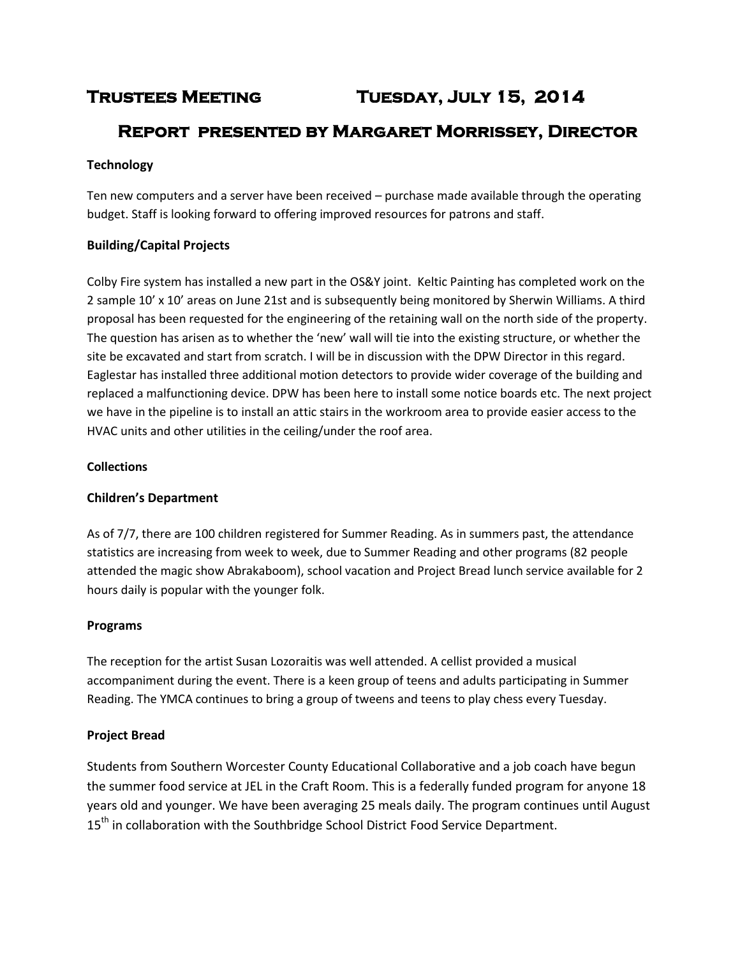# **Trustees Meeting Tuesday, July 15, 2014**

# **Report presented by Margaret Morrissey, Director**

# **Technology**

Ten new computers and a server have been received – purchase made available through the operating budget. Staff is looking forward to offering improved resources for patrons and staff.

# **Building/Capital Projects**

Colby Fire system has installed a new part in the OS&Y joint. Keltic Painting has completed work on the 2 sample 10' x 10' areas on June 21st and is subsequently being monitored by Sherwin Williams. A third proposal has been requested for the engineering of the retaining wall on the north side of the property. The question has arisen as to whether the 'new' wall will tie into the existing structure, or whether the site be excavated and start from scratch. I will be in discussion with the DPW Director in this regard. Eaglestar has installed three additional motion detectors to provide wider coverage of the building and replaced a malfunctioning device. DPW has been here to install some notice boards etc. The next project we have in the pipeline is to install an attic stairs in the workroom area to provide easier access to the HVAC units and other utilities in the ceiling/under the roof area.

# **Collections**

# **Children's Department**

As of 7/7, there are 100 children registered for Summer Reading. As in summers past, the attendance statistics are increasing from week to week, due to Summer Reading and other programs (82 people attended the magic show Abrakaboom), school vacation and Project Bread lunch service available for 2 hours daily is popular with the younger folk.

# **Programs**

The reception for the artist Susan Lozoraitis was well attended. A cellist provided a musical accompaniment during the event. There is a keen group of teens and adults participating in Summer Reading. The YMCA continues to bring a group of tweens and teens to play chess every Tuesday.

# **Project Bread**

Students from Southern Worcester County Educational Collaborative and a job coach have begun the summer food service at JEL in the Craft Room. This is a federally funded program for anyone 18 years old and younger. We have been averaging 25 meals daily. The program continues until August 15<sup>th</sup> in collaboration with the Southbridge School District Food Service Department.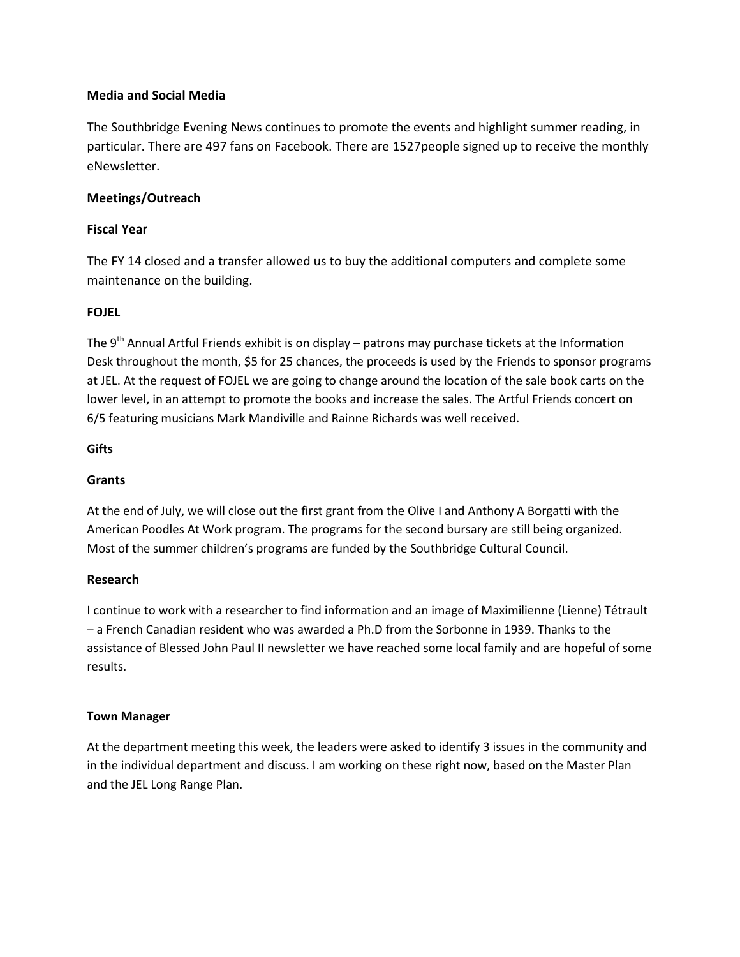#### **Media and Social Media**

The Southbridge Evening News continues to promote the events and highlight summer reading, in particular. There are 497 fans on Facebook. There are 1527people signed up to receive the monthly eNewsletter.

#### **Meetings/Outreach**

#### **Fiscal Year**

The FY 14 closed and a transfer allowed us to buy the additional computers and complete some maintenance on the building.

#### **FOJEL**

The 9<sup>th</sup> Annual Artful Friends exhibit is on display – patrons may purchase tickets at the Information Desk throughout the month, \$5 for 25 chances, the proceeds is used by the Friends to sponsor programs at JEL. At the request of FOJEL we are going to change around the location of the sale book carts on the lower level, in an attempt to promote the books and increase the sales. The Artful Friends concert on 6/5 featuring musicians Mark Mandiville and Rainne Richards was well received.

#### **Gifts**

### **Grants**

At the end of July, we will close out the first grant from the Olive I and Anthony A Borgatti with the American Poodles At Work program. The programs for the second bursary are still being organized. Most of the summer children's programs are funded by the Southbridge Cultural Council.

#### **Research**

I continue to work with a researcher to find information and an image of Maximilienne (Lienne) Tétrault – a French Canadian resident who was awarded a Ph.D from the Sorbonne in 1939. Thanks to the assistance of Blessed John Paul II newsletter we have reached some local family and are hopeful of some results.

#### **Town Manager**

At the department meeting this week, the leaders were asked to identify 3 issues in the community and in the individual department and discuss. I am working on these right now, based on the Master Plan and the JEL Long Range Plan.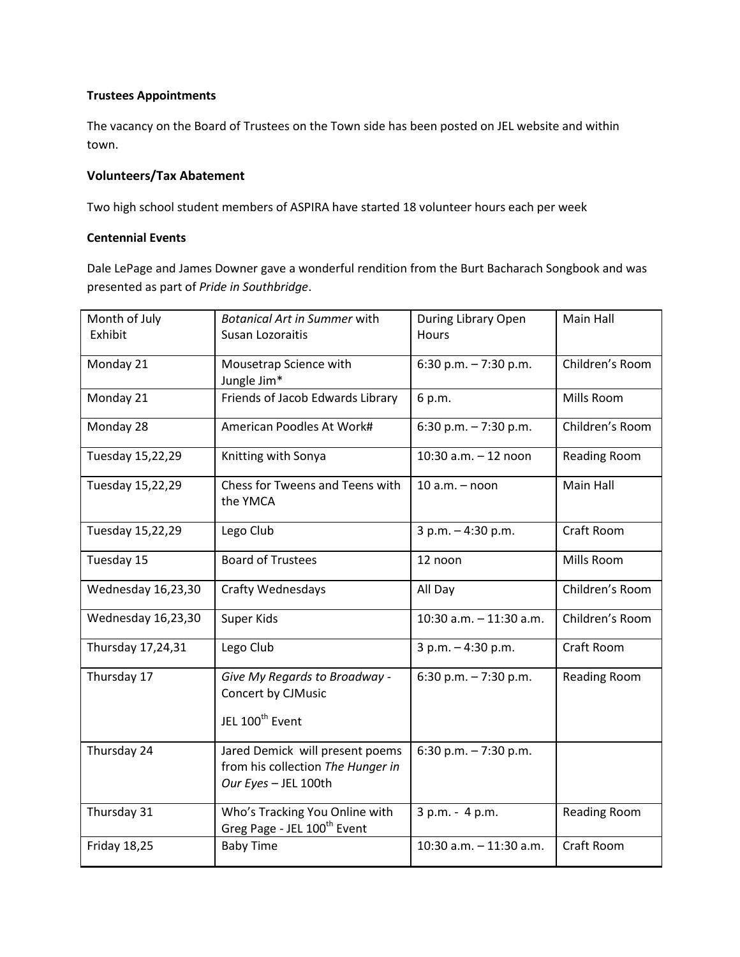#### **Trustees Appointments**

The vacancy on the Board of Trustees on the Town side has been posted on JEL website and within town.

#### **Volunteers/Tax Abatement**

Two high school student members of ASPIRA have started 18 volunteer hours each per week

#### **Centennial Events**

Dale LePage and James Downer gave a wonderful rendition from the Burt Bacharach Songbook and was presented as part of *Pride in Southbridge*.

| Month of July<br>Exhibit | <b>Botanical Art in Summer with</b><br>Susan Lozoraitis                                      | During Library Open<br><b>Hours</b> | Main Hall           |
|--------------------------|----------------------------------------------------------------------------------------------|-------------------------------------|---------------------|
| Monday 21                | Mousetrap Science with<br>Jungle Jim*                                                        | 6:30 p.m. $-7:30$ p.m.              | Children's Room     |
| Monday 21                | Friends of Jacob Edwards Library                                                             | 6 p.m.                              | Mills Room          |
| Monday 28                | American Poodles At Work#                                                                    | 6:30 p.m. $-7:30$ p.m.              | Children's Room     |
| Tuesday 15,22,29         | Knitting with Sonya                                                                          | $10:30$ a.m. $-12$ noon             | <b>Reading Room</b> |
| Tuesday 15,22,29         | Chess for Tweens and Teens with<br>the YMCA                                                  | $10 a.m. - noon$                    | Main Hall           |
| Tuesday 15,22,29         | Lego Club                                                                                    | 3 p.m. - 4:30 p.m.                  | Craft Room          |
| Tuesday 15               | <b>Board of Trustees</b>                                                                     | 12 noon                             | Mills Room          |
| Wednesday 16,23,30       | <b>Crafty Wednesdays</b>                                                                     | All Day                             | Children's Room     |
| Wednesday 16,23,30       | Super Kids                                                                                   | $10:30$ a.m. $-11:30$ a.m.          | Children's Room     |
| Thursday 17,24,31        | Lego Club                                                                                    | 3 p.m. - 4:30 p.m.                  | Craft Room          |
| Thursday 17              | Give My Regards to Broadway -<br>Concert by CJMusic<br>JEL 100 <sup>th</sup> Event           | 6:30 p.m. $-7:30$ p.m.              | <b>Reading Room</b> |
| Thursday 24              | Jared Demick will present poems<br>from his collection The Hunger in<br>Our Eyes - JEL 100th | 6:30 p.m. $-7:30$ p.m.              |                     |
| Thursday 31              | Who's Tracking You Online with<br>Greg Page - JEL 100 <sup>th</sup> Event                    | 3 p.m. - 4 p.m.                     | <b>Reading Room</b> |
| Friday 18,25             | <b>Baby Time</b>                                                                             | $10:30$ a.m. $-11:30$ a.m.          | Craft Room          |